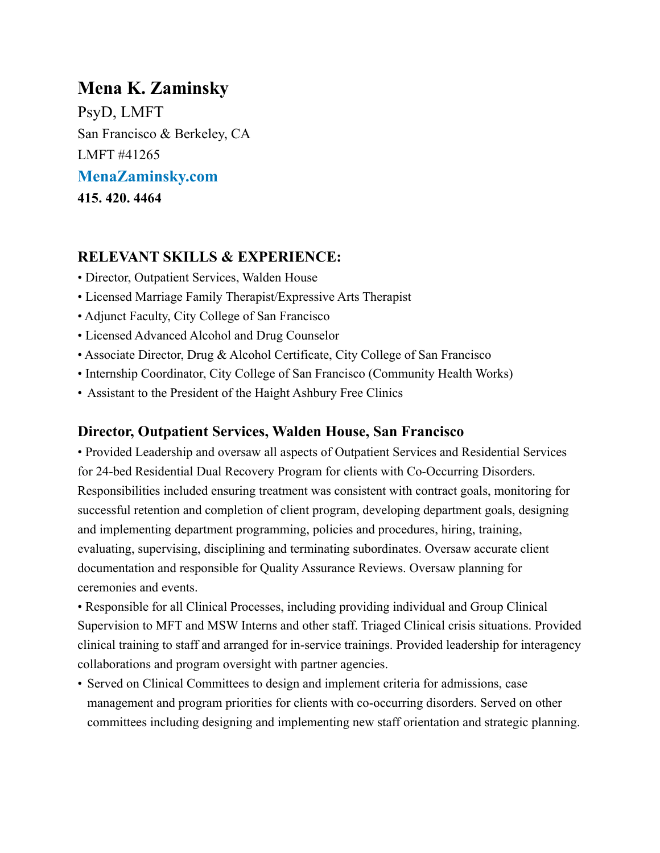# **Mena K. Zaminsky**

PsyD, LMFT San Francisco & Berkeley, CA LMFT #41265 **[MenaZaminsky.com](http://MenaZaminsky.com) 415. 420. 4464** 

# **RELEVANT SKILLS & EXPERIENCE:**

- Director, Outpatient Services, Walden House
- Licensed Marriage Family Therapist/Expressive Arts Therapist
- Adjunct Faculty, City College of San Francisco
- Licensed Advanced Alcohol and Drug Counselor
- Associate Director, Drug & Alcohol Certificate, City College of San Francisco
- Internship Coordinator, City College of San Francisco (Community Health Works)
- Assistant to the President of the Haight Ashbury Free Clinics

### **Director, Outpatient Services, Walden House, San Francisco**

• Provided Leadership and oversaw all aspects of Outpatient Services and Residential Services for 24-bed Residential Dual Recovery Program for clients with Co-Occurring Disorders. Responsibilities included ensuring treatment was consistent with contract goals, monitoring for successful retention and completion of client program, developing department goals, designing and implementing department programming, policies and procedures, hiring, training, evaluating, supervising, disciplining and terminating subordinates. Oversaw accurate client documentation and responsible for Quality Assurance Reviews. Oversaw planning for ceremonies and events.

• Responsible for all Clinical Processes, including providing individual and Group Clinical Supervision to MFT and MSW Interns and other staff. Triaged Clinical crisis situations. Provided clinical training to staff and arranged for in-service trainings. Provided leadership for interagency collaborations and program oversight with partner agencies.

• Served on Clinical Committees to design and implement criteria for admissions, case management and program priorities for clients with co-occurring disorders. Served on other committees including designing and implementing new staff orientation and strategic planning.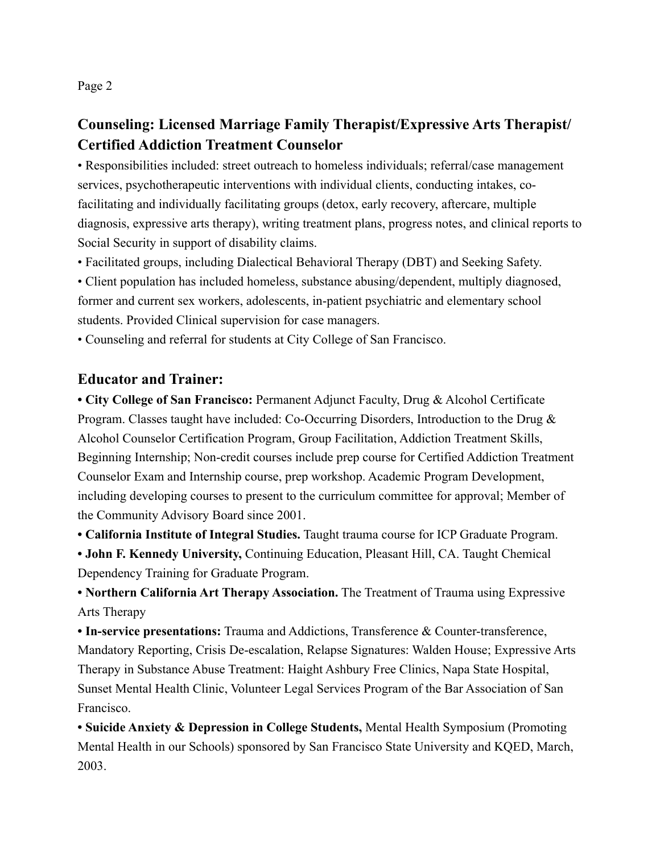Page 2

# **Counseling: Licensed Marriage Family Therapist/Expressive Arts Therapist/ Certified Addiction Treatment Counselor**

• Responsibilities included: street outreach to homeless individuals; referral/case management services, psychotherapeutic interventions with individual clients, conducting intakes, cofacilitating and individually facilitating groups (detox, early recovery, aftercare, multiple diagnosis, expressive arts therapy), writing treatment plans, progress notes, and clinical reports to Social Security in support of disability claims.

• Facilitated groups, including Dialectical Behavioral Therapy (DBT) and Seeking Safety.

• Client population has included homeless, substance abusing/dependent, multiply diagnosed, former and current sex workers, adolescents, in-patient psychiatric and elementary school students. Provided Clinical supervision for case managers.

• Counseling and referral for students at City College of San Francisco.

#### **Educator and Trainer:**

**• City College of San Francisco:** Permanent Adjunct Faculty, Drug & Alcohol Certificate Program. Classes taught have included: Co-Occurring Disorders, Introduction to the Drug & Alcohol Counselor Certification Program, Group Facilitation, Addiction Treatment Skills, Beginning Internship; Non-credit courses include prep course for Certified Addiction Treatment Counselor Exam and Internship course, prep workshop. Academic Program Development, including developing courses to present to the curriculum committee for approval; Member of the Community Advisory Board since 2001.

**• California Institute of Integral Studies.** Taught trauma course for ICP Graduate Program.

**• John F. Kennedy University,** Continuing Education, Pleasant Hill, CA. Taught Chemical Dependency Training for Graduate Program.

**• Northern California Art Therapy Association.** The Treatment of Trauma using Expressive Arts Therapy

**• In-service presentations:** Trauma and Addictions, Transference & Counter-transference, Mandatory Reporting, Crisis De-escalation, Relapse Signatures: Walden House; Expressive Arts Therapy in Substance Abuse Treatment: Haight Ashbury Free Clinics, Napa State Hospital, Sunset Mental Health Clinic, Volunteer Legal Services Program of the Bar Association of San Francisco.

**• Suicide Anxiety & Depression in College Students,** Mental Health Symposium (Promoting Mental Health in our Schools) sponsored by San Francisco State University and KQED, March, 2003.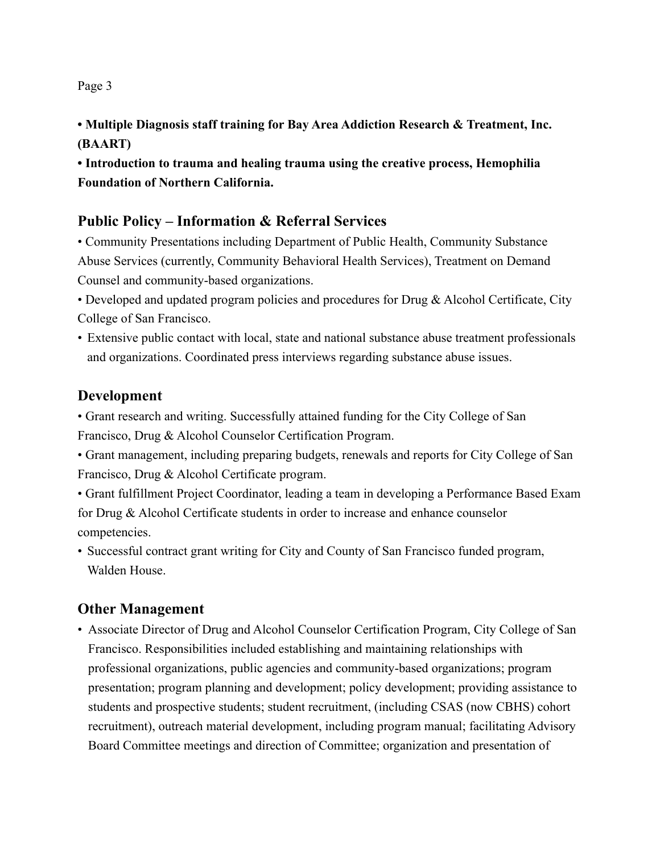#### Page 3

**• Multiple Diagnosis staff training for Bay Area Addiction Research & Treatment, Inc. (BAART)** 

**• Introduction to trauma and healing trauma using the creative process, Hemophilia Foundation of Northern California.** 

### **Public Policy – Information & Referral Services**

• Community Presentations including Department of Public Health, Community Substance Abuse Services (currently, Community Behavioral Health Services), Treatment on Demand Counsel and community-based organizations.

• Developed and updated program policies and procedures for Drug & Alcohol Certificate, City College of San Francisco.

• Extensive public contact with local, state and national substance abuse treatment professionals and organizations. Coordinated press interviews regarding substance abuse issues.

### **Development**

• Grant research and writing. Successfully attained funding for the City College of San Francisco, Drug & Alcohol Counselor Certification Program.

• Grant management, including preparing budgets, renewals and reports for City College of San Francisco, Drug & Alcohol Certificate program.

• Grant fulfillment Project Coordinator, leading a team in developing a Performance Based Exam for Drug & Alcohol Certificate students in order to increase and enhance counselor competencies.

• Successful contract grant writing for City and County of San Francisco funded program, Walden House.

# **Other Management**

• Associate Director of Drug and Alcohol Counselor Certification Program, City College of San Francisco. Responsibilities included establishing and maintaining relationships with professional organizations, public agencies and community-based organizations; program presentation; program planning and development; policy development; providing assistance to students and prospective students; student recruitment, (including CSAS (now CBHS) cohort recruitment), outreach material development, including program manual; facilitating Advisory Board Committee meetings and direction of Committee; organization and presentation of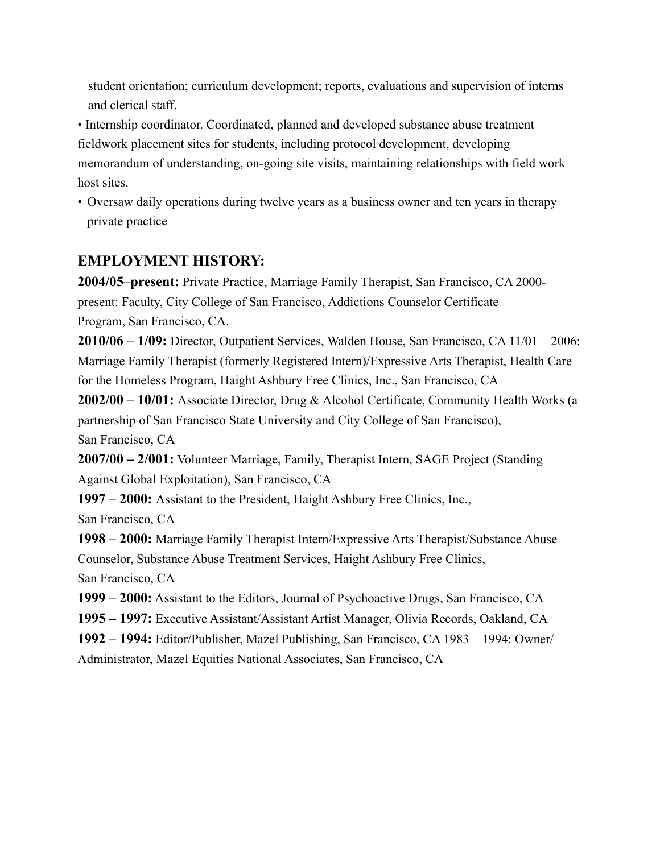student orientation; curriculum development; reports, evaluations and supervision of interns and clerical staff.

• Internship coordinator. Coordinated, planned and developed substance abuse treatment fieldwork placement sites for students, including protocol development, developing memorandum of understanding, on-going site visits, maintaining relationships with field work host sites.

• Oversaw daily operations during twelve years as a business owner and ten years in therapy private practice

# **EMPLOYMENT HISTORY:**

**2004/05–present:** Private Practice, Marriage Family Therapist, San Francisco, CA 2000 present: Faculty, City College of San Francisco, Addictions Counselor Certificate Program, San Francisco, CA.

**2010/06 – 1/09:** Director, Outpatient Services, Walden House, San Francisco, CA 11/01 – 2006: Marriage Family Therapist (formerly Registered Intern)/Expressive Arts Therapist, Health Care for the Homeless Program, Haight Ashbury Free Clinics, Inc., San Francisco, CA

**2002/00 – 10/01:** Associate Director, Drug & Alcohol Certificate, Community Health Works (a partnership of San Francisco State University and City College of San Francisco), San Francisco, CA

**2007/00 – 2/001:** Volunteer Marriage, Family, Therapist Intern, SAGE Project (Standing Against Global Exploitation), San Francisco, CA

**1997 – 2000:** Assistant to the President, Haight Ashbury Free Clinics, Inc., San Francisco, CA

**1998 – 2000:** Marriage Family Therapist Intern/Expressive Arts Therapist/Substance Abuse Counselor, Substance Abuse Treatment Services, Haight Ashbury Free Clinics, San Francisco, CA

**1999 – 2000:** Assistant to the Editors, Journal of Psychoactive Drugs, San Francisco, CA

**1995 – 1997:** Executive Assistant/Assistant Artist Manager, Olivia Records, Oakland, CA

**1992 – 1994:** Editor/Publisher, Mazel Publishing, San Francisco, CA 1983 – 1994: Owner/

Administrator, Mazel Equities National Associates, San Francisco, CA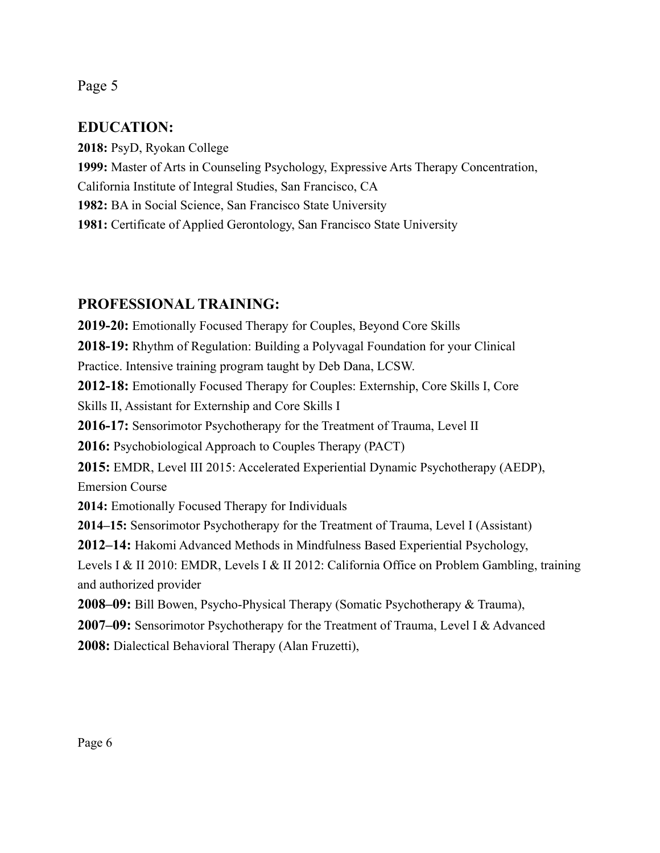#### Page 5

### **EDUCATION:**

**2018:** PsyD, Ryokan College **1999:** Master of Arts in Counseling Psychology, Expressive Arts Therapy Concentration, California Institute of Integral Studies, San Francisco, CA **1982:** BA in Social Science, San Francisco State University **1981:** Certificate of Applied Gerontology, San Francisco State University

### **PROFESSIONAL TRAINING:**

**2019-20:** Emotionally Focused Therapy for Couples, Beyond Core Skills **2018-19:** Rhythm of Regulation: Building a Polyvagal Foundation for your Clinical Practice. Intensive training program taught by Deb Dana, LCSW. **2012-18:** Emotionally Focused Therapy for Couples: Externship, Core Skills I, Core Skills II, Assistant for Externship and Core Skills I **2016-17:** Sensorimotor Psychotherapy for the Treatment of Trauma, Level II **2016:** Psychobiological Approach to Couples Therapy (PACT) **2015:** EMDR, Level III 2015: Accelerated Experiential Dynamic Psychotherapy (AEDP), Emersion Course **2014:** Emotionally Focused Therapy for Individuals **2014–15:** Sensorimotor Psychotherapy for the Treatment of Trauma, Level I (Assistant) **2012–14:** Hakomi Advanced Methods in Mindfulness Based Experiential Psychology, Levels I & II 2010: EMDR, Levels I & II 2012: California Office on Problem Gambling, training and authorized provider **2008–09:** Bill Bowen, Psycho-Physical Therapy (Somatic Psychotherapy & Trauma), **2007–09:** Sensorimotor Psychotherapy for the Treatment of Trauma, Level I & Advanced **2008:** Dialectical Behavioral Therapy (Alan Fruzetti),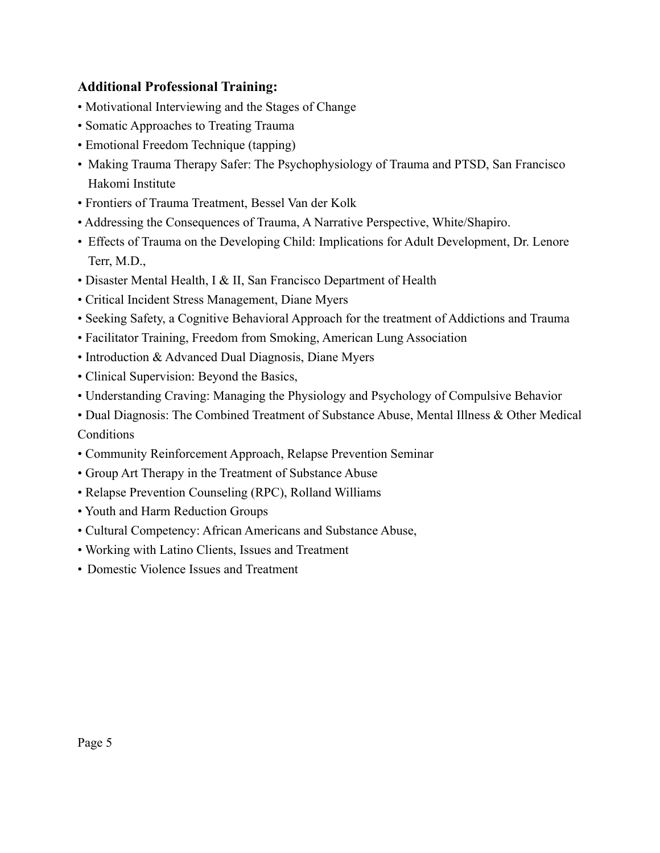#### **Additional Professional Training:**

- Motivational Interviewing and the Stages of Change
- Somatic Approaches to Treating Trauma
- Emotional Freedom Technique (tapping)
- Making Trauma Therapy Safer: The Psychophysiology of Trauma and PTSD, San Francisco Hakomi Institute
- Frontiers of Trauma Treatment, Bessel Van der Kolk
- Addressing the Consequences of Trauma, A Narrative Perspective, White/Shapiro.
- Effects of Trauma on the Developing Child: Implications for Adult Development, Dr. Lenore Terr, M.D.,
- Disaster Mental Health, I & II, San Francisco Department of Health
- Critical Incident Stress Management, Diane Myers
- Seeking Safety, a Cognitive Behavioral Approach for the treatment of Addictions and Trauma
- Facilitator Training, Freedom from Smoking, American Lung Association
- Introduction & Advanced Dual Diagnosis, Diane Myers
- Clinical Supervision: Beyond the Basics,
- Understanding Craving: Managing the Physiology and Psychology of Compulsive Behavior

• Dual Diagnosis: The Combined Treatment of Substance Abuse, Mental Illness & Other Medical **Conditions** 

- Community Reinforcement Approach, Relapse Prevention Seminar
- Group Art Therapy in the Treatment of Substance Abuse
- Relapse Prevention Counseling (RPC), Rolland Williams
- Youth and Harm Reduction Groups
- Cultural Competency: African Americans and Substance Abuse,
- Working with Latino Clients, Issues and Treatment
- Domestic Violence Issues and Treatment